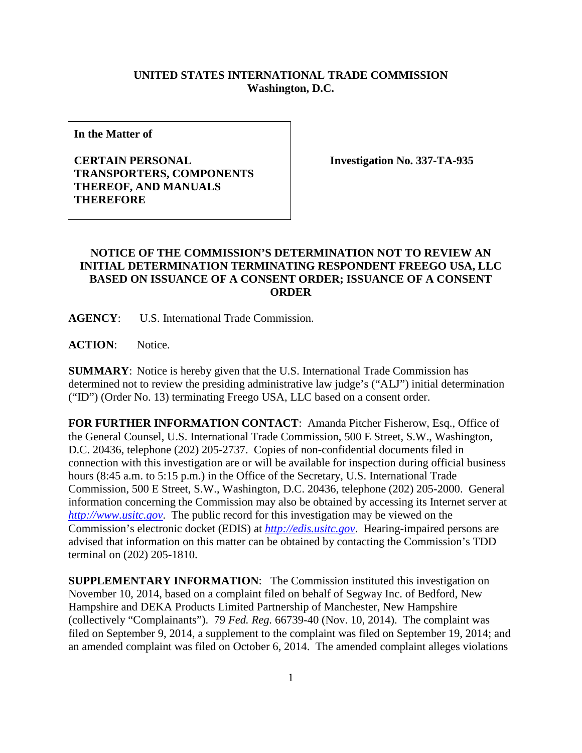## **UNITED STATES INTERNATIONAL TRADE COMMISSION Washington, D.C.**

**In the Matter of**

## **CERTAIN PERSONAL TRANSPORTERS, COMPONENTS THEREOF, AND MANUALS THEREFORE**

**Investigation No. 337-TA-935**

## **NOTICE OF THE COMMISSION'S DETERMINATION NOT TO REVIEW AN INITIAL DETERMINATION TERMINATING RESPONDENT FREEGO USA, LLC BASED ON ISSUANCE OF A CONSENT ORDER; ISSUANCE OF A CONSENT ORDER**

**AGENCY**: U.S. International Trade Commission.

**ACTION**: Notice.

**SUMMARY**: Notice is hereby given that the U.S. International Trade Commission has determined not to review the presiding administrative law judge's ("ALJ") initial determination ("ID") (Order No. 13) terminating Freego USA, LLC based on a consent order.

**FOR FURTHER INFORMATION CONTACT**: Amanda Pitcher Fisherow, Esq., Office of the General Counsel, U.S. International Trade Commission, 500 E Street, S.W., Washington, D.C. 20436, telephone (202) 205-2737. Copies of non-confidential documents filed in connection with this investigation are or will be available for inspection during official business hours (8:45 a.m. to 5:15 p.m.) in the Office of the Secretary, U.S. International Trade Commission, 500 E Street, S.W., Washington, D.C. 20436, telephone (202) 205-2000. General information concerning the Commission may also be obtained by accessing its Internet server at *[http://www.usitc.gov](http://www.usitc.gov/)*. The public record for this investigation may be viewed on the Commission's electronic docket (EDIS) at *[http://edis.usitc.gov](http://edis.usitc.gov/)*. Hearing-impaired persons are advised that information on this matter can be obtained by contacting the Commission's TDD terminal on (202) 205-1810.

**SUPPLEMENTARY INFORMATION:** The Commission instituted this investigation on November 10, 2014, based on a complaint filed on behalf of Segway Inc. of Bedford, New Hampshire and DEKA Products Limited Partnership of Manchester, New Hampshire (collectively "Complainants"). 79 *Fed. Reg.* 66739-40 (Nov. 10, 2014). The complaint was filed on September 9, 2014, a supplement to the complaint was filed on September 19, 2014; and an amended complaint was filed on October 6, 2014. The amended complaint alleges violations